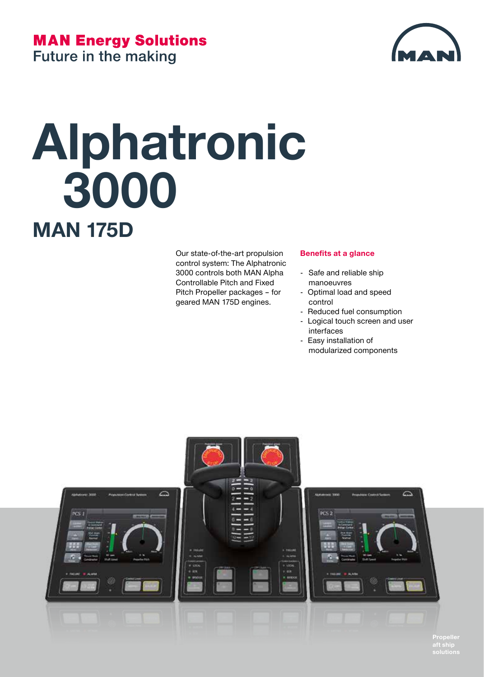### **MAN Energy Solutions**



**Future in the making** 

# **Alphatronic 3000 MAN 175D**

Our state-of-the-art propulsion control system: The Alphatronic 3000 controls both MAN Alpha Controllable Pitch and Fixed Pitch Propeller packages – for geared MAN 175D engines.

#### **Benefits at a glance**

- Safe and reliable ship manoeuvres
- Optimal load and speed control
- Reduced fuel consumption
- Logical touch screen and user interfaces
- Easy installation of modularized components



**Propeller aft ship**